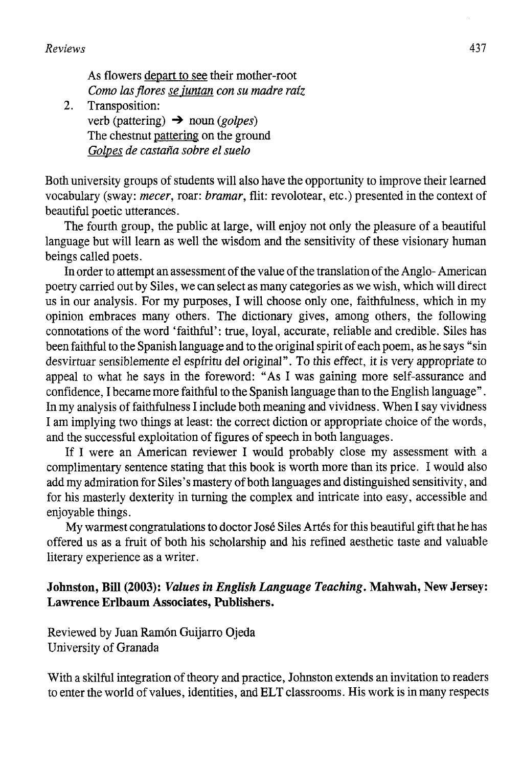As flowers depart to see their mother-root *Como las flores se juntan con su madre raíz* 

*2.* Transposition: verb (pattering) -> noun *(golpes)*  The chestnut pattering on the ground *Golpes de castaña sobre el suelo* 

Both university groups of students will also have the opportunity to improve their learned vocabulary (sway: *mecer,* roar: *bramar,* flit: revolotear, etc.) presented in the context of beautiful poetic utterances.

The fourth group, the public at large, will enjoy not only the pleasure of a beautiful language but will learn as well the wisdom and the sensitivity of these visionary human beings called poets.

In order to attempt an assessment of the value of the translation of the Anglo-American poetry carried out by Siles, we can select as many categories as we wish, which will direct us in our analysis. For my purposes, I will choose only one, faithfulness, which in my opinión embraces many others. The dictionary gives, among others, the following connotations of the word 'faithful': true, loyal, accurate, reliable and credible. Siles has been faithful to the Spanish language and to the original spirit of each poem, as he says "sin desvirtuar sensiblemente el espíritu del original". To this effect, it is very appropriate to appeal to what he says in the foreword: "As I was gaining more self-assurance and confidence. I became more faithful to the Spanish language than to the English language". In my analysis of faithfulness I include both meaning and vividness. When I say vividness I am implying two things at least: the correct diction or appropriate choice of the words, and the successful exploitation of figures of speech in both languages.

If I were an American reviewer I would probably close my assessment with a complimentary sentence stating that this book is worth more than its price. I would also add my admiration for Siles's mastery of both languages and distinguished sensitivity, and for his masterly dexterity in turning the complex and intricate into easy, accessible and enjoyable things.

My warmest congratulations to doctor José Siles Artes for this beautiful gift that he has offered us as a fruit of both his scholarship and his refined aesthetic taste and valuable literary experience as a writer.

## **Johnston, Bill (2003):** *Valúes in English Language Teaching.* **Mahwah, New Jersey: Lawrence Erlbaum Associates, Publishers.**

Reviewed by Juan Ramón Guijarro Ojeda University of Granada

With a skilful integration of theory and practice, Johnston extends an invitation to readers to enter the world of valúes, identities, and ELT classrooms. His work is in many respects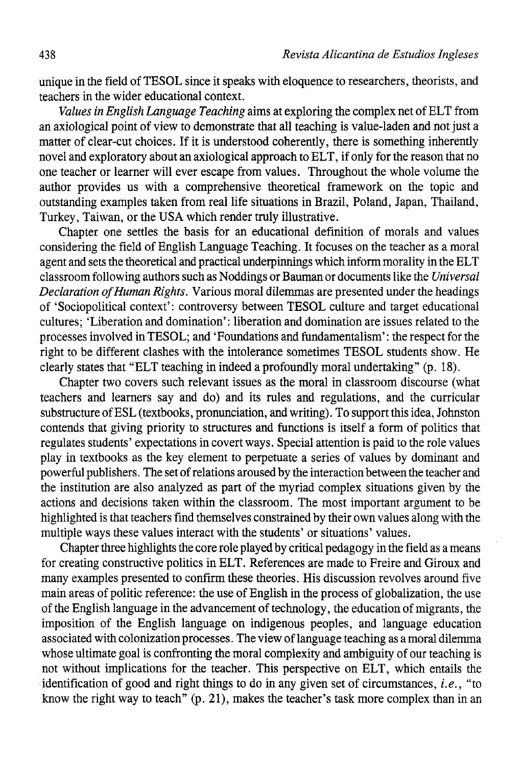unique in the field of TESOL since it speaks with eloquence to researchers, theorists, and teachers in the wider educational context.

*Valúes in English Language Teaching* aims at exploring the complex net of ELT from an axiological point of view to demónstrate that all teaching is value-laden and not just a matter of clear-cut choices. If it is understood coherently, there is something inherently novel and exploratory about an axiological approach to ELT, if only for the reason that no one teacher or learner will ever escape from valúes. Throughout the whole volume the author provides us with a comprehensive theoretical framework on the topic and outstanding examples taken from real life situations in Brazil, Poland, Japan, Thailand, Turkey, Taiwan, or the USA which render truly illustrative.

Chapter one settles the basis for an educational definition of morals and values considering the field of English Language Teaching. It focuses on the teacher as a moral agent and sets the theoretical and practical underpinnings which inform morality in the ELT classroom following authors such as Noddings or Bauman or documents like the *Universal Declaration of Human Rights.* Various moral dilemmas are presented under the headings of 'Sociopolitical context': controversy between TESOL culture and target educational cultures; 'Liberation and domination': liberation and domination are issues related to the processes involved in TESOL; and 'Foundations and fundamentalism': the respect for the right to be different clashes with the intolerance sometimes TESOL students show. He clearly states that "ELT teaching in indeed a profoundly moral undertaking" (p. 18).

Chapter two covers such relevant issues as the moral in classroom discourse (what teachers and learners say and do) and its rules and regulations, and the curricular substructure of ESL (textbooks, pronunciation, and writing). To support this idea, Johnston contends that giving priority to structures and functions is itself a form of politics that regulates students' expectations in covert ways. Special attention is paid to the role values play in textbooks as the key element to perpetúate a series of valúes by dominant and powerful publishers. The set of relations aroused by the interaction between the teacher and the institution are also analyzed as part of the myriad complex situations given by the actions and decisions taken within the classroom. The most important argument to be highlighted is that teachers find themselves constrained by their own valúes along with the multiple ways these values interact with the students' or situations' values.

Chapter three highlights the core role played by critical pedagogy in the field as a means for creating constructive politics in ELT. References are made to Freire and Giroux and many examples presented to confirm these theories. His discussion revolves around five main áreas of politic reference: the use of English in the process of globalization, the use of the English language in the advancement of technology, the education of migrants, the imposition of the English language on indigenous peoples, and language education associated with colonization processes. The view of language teaching as a moral dilemma whose ultímate goal is confronting the moral complexity and ambiguity of our teaching is not wifhout implications for the teacher. This perspective on ELT, which entails the identification of good and right things to do in any given set of circumstances, *i.e.*, "to know the right way to teach"  $(p, 21)$ , makes the teacher's task more complex than in an